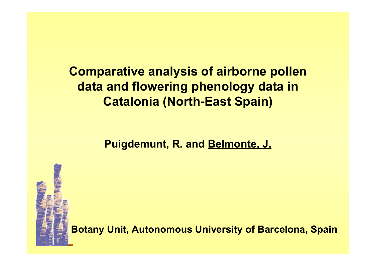**Comparative analysis of airborne pollen data and flowering phenology data in Catalonia (North-East Spain)**

**Puigdemunt, R. and Belmonte, J.**

**Botany Unit, Autonomous University of Barcelona, Spain**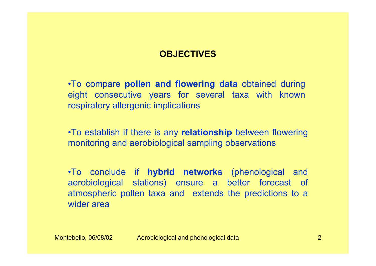#### **OBJECTIVES**

•To compare **pollen and flowering data** obtained during eight consecutive years for several taxa with known respiratory allergenic implications

•To establish if there is any **relationship** between flowering monitoring and aerobiological sampling observations

•To conclude if **hybrid networks** (phenological and aerobiological stations) ensure a better forecast of atmospheric pollen taxa and extends the predictions to a wider area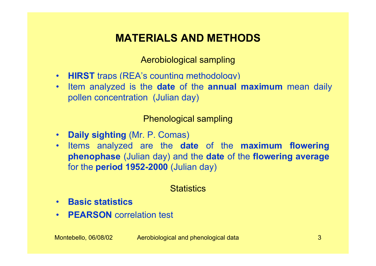# **MATERIALS AND METHODS**

Aerobiological sampling

- **HIRST** traps (REA's counting methodology)
- • Item analyzed is the **date** of the **annual maximum** mean daily pollen concentration (Julian day)

Phenological sampling

- **Daily sighting** (Mr. P. Comas)
- Items analyzed are the **date** of the **maximum flowering phenophase** (Julian day) and the **date** of the **flowering average** for the **period 1952-2000** (Julian day)

## **Statistics**

- **Basic statistics**
- **PEARSON** correlation test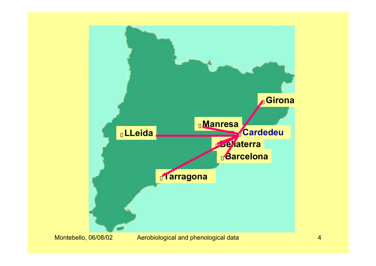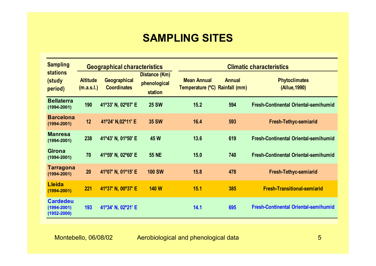## **SAMPLING SITES**

| <b>Sampling</b><br><b>stations</b><br>(study<br>period) | <b>Geographical characteristics</b> |                                    |                                          | <b>Climatic characteristics</b>                      |               |                                             |  |
|---------------------------------------------------------|-------------------------------------|------------------------------------|------------------------------------------|------------------------------------------------------|---------------|---------------------------------------------|--|
|                                                         | <b>Altitude</b><br>(m.a.s.l.)       | Geographical<br><b>Coordinates</b> | Distance (Km)<br>phenological<br>station | <b>Mean Annual</b><br>Temperature (°C) Rainfall (mm) | <b>Annual</b> | <b>Phytoclimates</b><br>(Allue, 1990)       |  |
| <b>Bellaterra</b><br>$(1994 - 2001)$                    | 190                                 | 41°33' N, 02°07' E                 | <b>25 SW</b>                             | 15.2                                                 | 594           | <b>Fresh-Continental Oriental-semihumid</b> |  |
| <b>Barcelona</b><br>$(1994 - 2001)$                     | 12                                  | 41°24' N,02°11' E                  | <b>35 SW</b>                             | 16.4                                                 | 593           | <b>Fresh-Tethyc-semiarid</b>                |  |
| <b>Manresa</b><br>$(1994 - 2001)$                       | 238                                 | 41°43' N, 01°50' E                 | 45 W                                     | 13.6                                                 | 619           | <b>Fresh-Continental Oriental-semihumid</b> |  |
| <b>Girona</b><br>$(1994 - 2001)$                        | 70                                  | 41°59' N, 02°60' E                 | <b>55 NE</b>                             | 15.0                                                 | 740           | <b>Fresh-Continental Oriental-semihumid</b> |  |
| <b>Tarragona</b><br>$(1994 - 2001)$                     | 20                                  | 41°07' N, 01°15' E                 | <b>100 SW</b>                            | 15.8                                                 | 478           | <b>Fresh-Tethyc-semiarid</b>                |  |
| <b>Lleida</b><br>$(1994 - 2001)$                        | <b>221</b>                          | 41°37' N, 00°37' E                 | <b>140 W</b>                             | 15.1                                                 | 385           | <b>Fresh-Transitional-semiarid</b>          |  |
| <b>Cardedeu</b><br>$(1994 - 2001)$<br>$(1952 - 2000)$   | 193                                 | 41°34' N, 02°21' E                 |                                          | 14.1                                                 | 695           | <b>Fresh-Continental Oriental-semihumid</b> |  |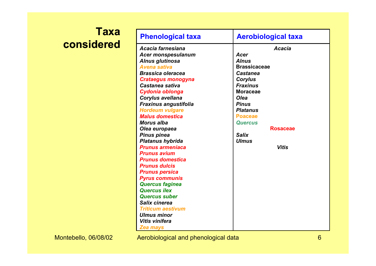# **Taxa considered**

| Acacia farnesiana<br>Acacia<br><b>Acer monspesulanum</b><br>Acer<br>Alnus glutinosa<br><b>Alnus</b><br><b>Brassicaceae</b><br><b>Avena sativa</b><br><b>Castanea</b><br><b>Brassica oleracea</b><br>Corylus<br><b>Crataegus monogyna</b><br>Castanea sativa<br><b>Fraxinus</b><br><b>Moraceae</b><br>Cydonia oblonga<br><b>Olea</b><br>Corylus avellana<br><b>Fraxinus angustifolia</b><br><b>Pinus</b><br><b>Hordeum vulgare</b><br><b>Platanus</b><br><b>Malus domestica</b><br><b>Poaceae</b><br><b>Morus alba</b><br><b>Quercus</b><br><b>Rosaceae</b><br>Olea europaea<br><b>Pinus pinea</b><br><b>Salix</b><br><b>Ulmus</b><br><b>Platanus hybrida</b><br><b>Prunus armeniaca</b><br><b>Vitis</b><br><b>Prunus avium</b><br><b>Prunus domestica</b><br><b>Prunus dulcis</b><br><b>Prunus persica</b><br><b>Pyrus communis</b><br><b>Quercus faginea</b><br><b>Quercus ilex</b><br><b>Quercus suber</b><br>Salix cinerea | <b>Phenological taxa</b> | <b>Aerobiological taxa</b> |  |  |  |
|-------------------------------------------------------------------------------------------------------------------------------------------------------------------------------------------------------------------------------------------------------------------------------------------------------------------------------------------------------------------------------------------------------------------------------------------------------------------------------------------------------------------------------------------------------------------------------------------------------------------------------------------------------------------------------------------------------------------------------------------------------------------------------------------------------------------------------------------------------------------------------------------------------------------------------|--------------------------|----------------------------|--|--|--|
| <b>Ulmus minor</b><br>Vitis vinifera<br><b>Zea mays</b>                                                                                                                                                                                                                                                                                                                                                                                                                                                                                                                                                                                                                                                                                                                                                                                                                                                                       | <b>Triticum aestivum</b> |                            |  |  |  |

Montebello, 06/08/02 Aerobiological and phenological data 6 (6) April 2014 6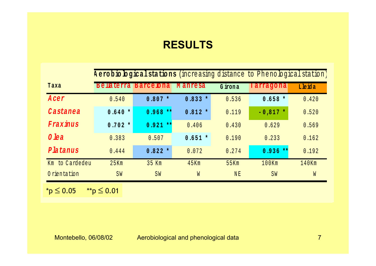## **RESULTS**

|                | A erobio logical stations (increasing distance to Phenological station) |                  |                |         |            |        |  |  |
|----------------|-------------------------------------------------------------------------|------------------|----------------|---------|------------|--------|--|--|
| Taxa           | <b>Bellaterra</b>                                                       | <b>Barce bna</b> | <b>Manresa</b> | G irona | Tarragona  | Lleida |  |  |
| Acer           | 0.540                                                                   | $0.807 *$        | $0.833 *$      | 0.536   | $0.658 *$  | 0.420  |  |  |
| Castanea       | $0.640*$                                                                | $0.968**$        | $0.812 *$      | 0.119   | $-0,817$ * | 0.520  |  |  |
| Fraxinus       | $0.702 *$                                                               | $0.921$ **       | 0.406          | 0.430   | 0.629      | 0.569  |  |  |
| 0 lea          | 0.383                                                                   | 0.507            | $0.651 *$      | 0.190   | 0.233      | 0.162  |  |  |
| Platanus       | 0.444                                                                   | $0.822 *$        | 0.072          | 0.274   | $0.936**$  | 0.192  |  |  |
| Km to Cardedeu | 25Km                                                                    | 35 Km            | 45Km           | 55Km    | $100$ Km   | 140Km  |  |  |
| 0 rientation   | <b>SW</b>                                                               | SW               | W              | NE      | SW         | W      |  |  |
|                |                                                                         |                  |                |         |            |        |  |  |

**\*** p ≤ 0.05 **\*\*** p ≤ 0.01 \*p ≤ 0.05 \*\*p ≤ 0.01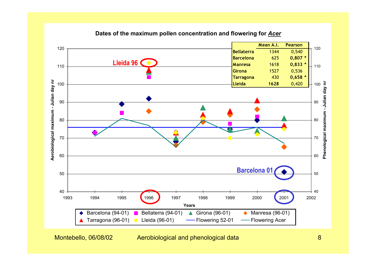

#### **Dates of the maximum pollen concentration and flowering for** *Acer*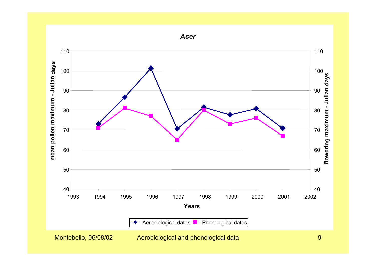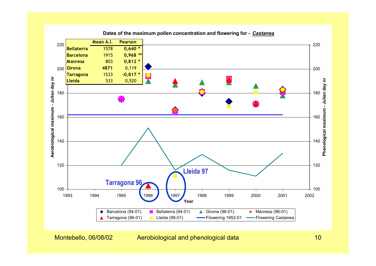

**Dates of the maximum pollen concentration and flowering for -** *Castanea*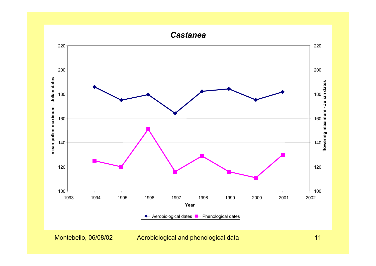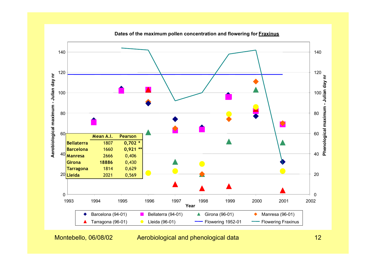

**Dates of the maximum pollen concentration and flowering for Fraxinus**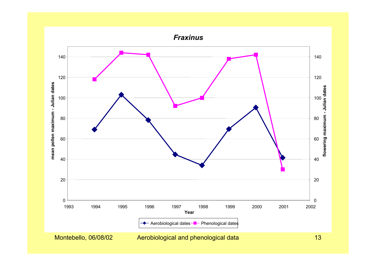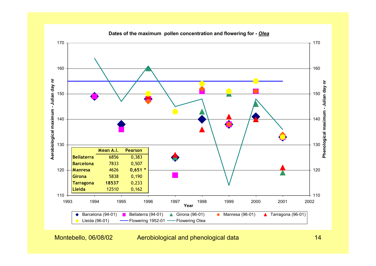

 **Dates of the maximum pollen concentration and flowering for -** *Olea*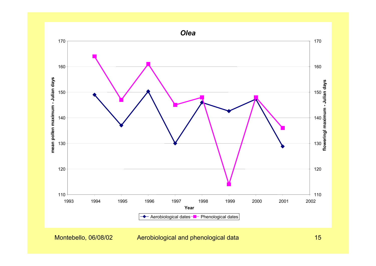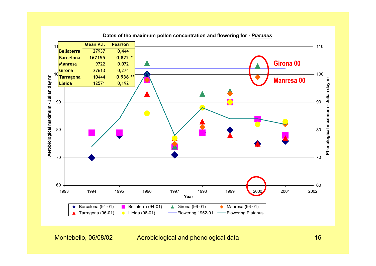

**Dates of the maximum pollen concentration and flowering for -** *Platanus*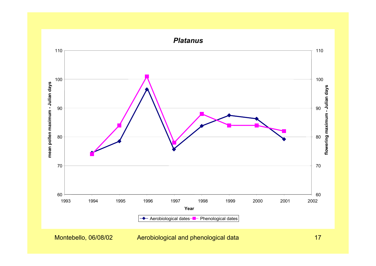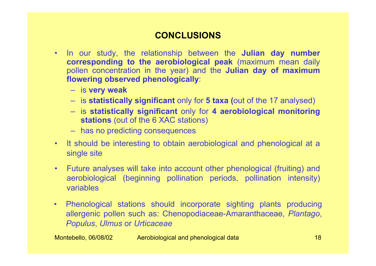#### **CONCLUSIONS**

- In our study, the relationship between the **Julian day number corresponding to the aerobiological peak** (maximum mean daily pollen concentration in the year) and the **Julian day of maximum flowering observed phenologically**:
	- is **very weak**
	- is **statistically significant** only for **5 taxa (**out of the 17 analysed)
	- is **statistically significant** only for **4 aerobiological monitoring stations** (out of the 6 XAC stations)
	- has no predicting consequences
- It should be interesting to obtain aerobiological and phenological at a single site
- Future analyses will take into account other phenological (fruiting) and aerobiological (beginning pollination periods, pollination intensity) variables
- Phenological stations should incorporate sighting plants producing allergenic pollen such as: Chenopodiaceae-Amaranthaceae, *Plantago*, *Populus*, *Ulmus* or *Urticaceae*